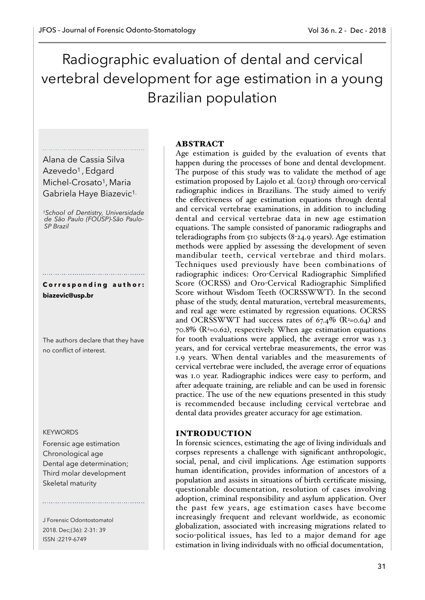# Radiographic evaluation of dental and cervical vertebral development for age estimation in a young Brazilian population

Alana de Cassia Silva Azevedo<sup>1</sup>, Edgard Michel-Crosato<sup>1</sup>, Maria Gabriela Haye Biazevic1.

*1School of Dentistry, Universidade de São Paulo (FOUSP)-São Paulo-SP Brazil* 

Corresponding author: **biazevic@usp.br**

The authors declare that they have no conflict of interest.

#### **KEYWORDS**

Forensic age estimation Chronological age Dental age determination; Third molar development Skeletal maturity

J Forensic Odontostomatol 2018. Dec;(36): 2-31: 39 ISSN :2219-6749

## ABSTRACT

Age estimation is guided by the evaluation of events that happen during the processes of bone and dental development. The purpose of this study was to validate the method of age estimation proposed by Lajolo et al. (2013) through oro-cervical radiographic indices in Brazilians. The study aimed to verify the effectiveness of age estimation equations through dental and cervical vertebrae examinations, in addition to including dental and cervical vertebrae data in new age estimation equations. The sample consisted of panoramic radiographs and teleradiographs from 510 subjects (8-24.9 years). Age estimation methods were applied by assessing the development of seven mandibular teeth, cervical vertebrae and third molars. Techniques used previously have been combinations of radiographic indices: Oro-Cervical Radiographic Simplified Score (OCRSS) and Oro-Cervical Radiographic Simplified Score without Wisdom Teeth (OCRSSWWT). In the second phase of the study, dental maturation, vertebral measurements, and real age were estimated by regression equations. OCRSS and OCRSSWWT had success rates of  $67.4\%$  (R<sup>2</sup>=0.64) and  $70.8\%$  (R<sup>2</sup>=0.62), respectively. When age estimation equations for tooth evaluations were applied, the average error was 1.3 years, and for cervical vertebrae measurements, the error was 1.9 years. When dental variables and the measurements of cervical vertebrae were included, the average error of equations was 1.0 year. Radiographic indices were easy to perform, and after adequate training, are reliable and can be used in forensic practice. The use of the new equations presented in this study is recommended because including cervical vertebrae and dental data provides greater accuracy for age estimation.

## INTRODUCTION

In forensic sciences, estimating the age of living individuals and corpses represents a challenge with significant anthropologic, social, penal, and civil implications. Age estimation supports human identification, provides information of ancestors of a population and assists in situations of birth certificate missing, questionable documentation, resolution of cases involving adoption, criminal responsibility and asylum application. Over the past few years, age estimation cases have become increasingly frequent and relevant worldwide, as economic globalization, associated with increasing migrations related to socio-political issues, has led to a major demand for age estimation in living individuals with no official documentation,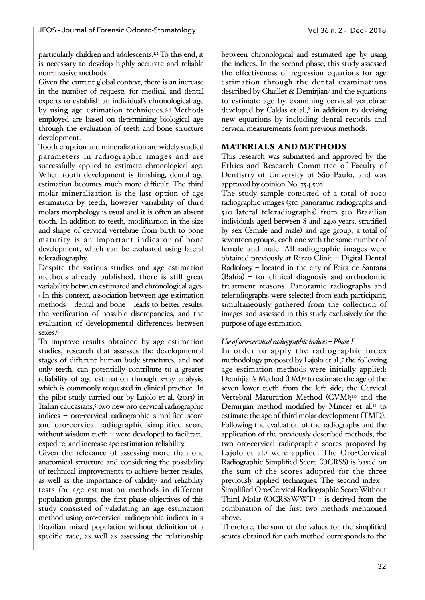particularly children and adolescents.1,2 To this end, it is necessary to develop highly accurate and reliable non-invasive methods.

Given the current global context, there is an increase in the number of requests for medical and dental experts to establish an individual's chronological age by using age estimation techniques.3,4 Methods employed are based on determining biological age through the evaluation of teeth and bone structure development.

Tooth eruption and mineralization are widely studied parameters in radiographic images and are successfully applied to estimate chronological age. When tooth development is finishing, dental age estimation becomes much more difficult. The third molar mineralization is the last option of age estimation by teeth, however variability of third molars morphology is usual and it is often an absent tooth. In addition to teeth, modification in the size and shape of cervical vertebrae from birth to bone maturity is an important indicator of bone development, which can be evaluated using lateral teleradiography.

Despite the various studies and age estimation methods already published, there is still great variability between estimated and chronological ages. 5 In this context, association between age estimation methods – dental and bone – leads to better results, the verification of possible discrepancies, and the evaluation of developmental differences between sexes.<sup>6</sup>

To improve results obtained by age estimation studies, research that assesses the developmental stages of different human body structures, and not only teeth, can potentially contribute to a greater reliability of age estimation through x-ray analysis, which is commonly requested in clinical practice. In the pilot study carried out by Lajolo et al. (2013) in Italian caucasians,<sup>5</sup> two new oro-cervical radiographic indices – oro-cervical radiographic simplified score and oro-cervical radiographic simplified score without wisdom teeth – were developed to facilitate, expedite, and increase age estimation reliability.

Given the relevance of assessing more than one anatomical structure and considering the possibility of technical improvements to achieve better results, as well as the importance of validity and reliability tests for age estimation methods in different population groups, the first phase objectives of this study consisted of validating an age estimation method using oro-cervical radiographic indices in a Brazilian mixed population without definition of a specific race, as well as assessing the relationship

between chronological and estimated age by using the indices. In the second phase, this study assessed the effectiveness of regression equations for age estimation through the dental examinations described by Chaillet & Demirijan<sup>7</sup> and the equations to estimate age by examining cervical vertebrae developed by Caldas et al.,<sup>8</sup> in addition to devising new equations by including dental records and cervical measurements from previous methods.

## MATERIALS AND METHODS

This research was submitted and approved by the Ethics and Research Committee of Faculty of Dentistry of University of São Paulo, and was approved by opinion No. 754.502.

The study sample consisted of a total of 1020 radiographic images (510 panoramic radiographs and 510 lateral teleradiographs) from 510 Brazilian individuals aged between 8 and 24.9 years, stratified by sex (female and male) and age group, a total of seventeen groups, each one with the same number of female and male. All radiographic images were obtained previously at Rizzo Clinic – Digital Dental Radiology – located in the city of Feira de Santana (Bahia) – for clinical diagnosis and orthodontic treatment reasons. Panoramic radiographs and teleradiographs were selected from each participant, simultaneously gathered from the collection of images and assessed in this study exclusively for the purpose of age estimation.

#### *Use of oro-cervical radiographic indices – Phase I*

In order to apply the radiographic index methodology proposed by Lajolo et al.,5 the following age estimation methods were initially applied: Demirjian's Method (DM)9 to estimate the age of the seven lower teeth from the left side; the Cervical Vertebral Maturation Method (CVM);<sup>10</sup> and the Demirjian method modified by Mincer et al.<sup>11</sup> to estimate the age of third molar development (TMD). Following the evaluation of the radiographs and the application of the previously described methods, the two oro-cervical radiographic scores proposed by Lajolo et al.5 were applied. The Oro-Cervical Radiographic Simplified Score (OCRSS) is based on the sum of the scores adopted for the three previously applied techniques. The second index – Simplified Oro-Cervical Radiographic Score Without Third Molar (OCRSSWWT) – is derived from the combination of the first two methods mentioned above.

Therefore, the sum of the values for the simplified scores obtained for each method corresponds to the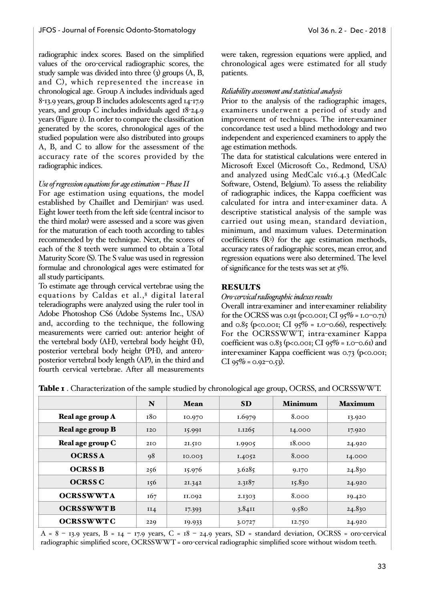radiographic index scores. Based on the simplified values of the oro-cervical radiographic scores, the study sample was divided into three (3) groups (A, B, and C), which represented the increase in chronological age. Group A includes individuals aged 8-13.9 years, group B includes adolescents aged 14-17.9 years, and group C includes individuals aged 18-24.9 years (Figure 1). In order to compare the classification generated by the scores, chronological ages of the studied population were also distributed into groups A, B, and C to allow for the assessment of the accuracy rate of the scores provided by the radiographic indices.

#### *Use of regression equations for age estimation – Phase II*

For age estimation using equations, the model established by Chaillet and Demirjian7 was used. Eight lower teeth from the left side (central incisor to the third molar) were assessed and a score was given for the maturation of each tooth according to tables recommended by the technique. Next, the scores of each of the 8 teeth were summed to obtain a Total Maturity Score (S). The S value was used in regression formulae and chronological ages were estimated for all study participants.

To estimate age through cervical vertebrae using the equations by Caldas et al.,8 digital lateral teleradiographs were analyzed using the ruler tool in Adobe Photoshop CS6 (Adobe Systems Inc., USA) and, according to the technique, the following measurements were carried out: anterior height of the vertebral body (AH), vertebral body height (H), posterior vertebral body height (PH), and anteroposterior vertebral body length (AP), in the third and fourth cervical vertebrae. After all measurements

were taken, regression equations were applied, and chronological ages were estimated for all study patients.

## *Reliability assessment and statistical analysis*

Prior to the analysis of the radiographic images, examiners underwent a period of study and improvement of techniques. The inter-examiner concordance test used a blind methodology and two independent and experienced examiners to apply the age estimation methods.

The data for statistical calculations were entered in Microsoft Excel (Microsoft Co., Redmond, USA) and analyzed using MedCalc v16.4.3 (MedCalc Software, Ostend, Belgium). To assess the reliability of radiographic indices, the Kappa coefficient was calculated for intra and inter-examiner data. A descriptive statistical analysis of the sample was carried out using mean, standard deviation, minimum, and maximum values. Determination coefficients  $(R<sup>2</sup>)$  for the age estimation methods, accuracy rates of radiographic scores, mean error, and regression equations were also determined. The level of significance for the tests was set at 5%.

## **RESULTS**

## *Oro-cervical radiographic indexes results*

Overall intra-examiner and inter-examiner reliability for the OCRSS was 0.91 (p<0.001; CI 95% = 1.0–0.71) and 0.85 (p<0.001; CI  $95\% = 1.0 - 0.66$ ), respectively. For the OCRSSWWT, intra-examiner Kappa coefficient was 0.83 (p<0.001; CI  $95\%$  = 1.0–0.61) and inter-examiner Kappa coefficient was 0.73 (p<0.001;  $CI$  95% = 0.92-0.53).

|  | Table I . Characterization of the sample studied by chronological age group, OCRSS, and OCRSSWWT. |  |  |
|--|---------------------------------------------------------------------------------------------------|--|--|
|  |                                                                                                   |  |  |

|                  | N          | <b>Mean</b> | <b>SD</b> | <b>Minimum</b> | <b>Maximum</b> |
|------------------|------------|-------------|-----------|----------------|----------------|
| Real age group A | 180        | 10.970      | 1.6979    | 8.000          | 13.920         |
| Real age group B | <b>I2O</b> | 15.991      | 1.1265    | 14.000         | 17.920         |
| Real age group C | <b>210</b> | 21.510      | 1.9905    | 18.000         | 24.920         |
| <b>OCRSSA</b>    | 98         | 10.003      | 1.4052    | 8.000          | 14.000         |
| <b>OCRSS B</b>   | 256        | 15.976      | 3.6285    | 9.170          | 24.830         |
| <b>OCRSS C</b>   | 156        | 21.342      | 2.3187    | 15.830         | 24.920         |
| <b>OCRSSWWTA</b> | 167        | II.092      | 2.1303    | 8.000          | 19.420         |
| <b>OCRSSWWTB</b> | II4        | 17.393      | 3.8411    | 9.580          | 24.830         |
| <b>OCRSSWWTC</b> | 229        | 19.933      | 3.0727    | 12.750         | 24.920         |

A = 8 – 13.9 years, B = 14 – 17.9 years, C = 18 – 24.9 years, SD = standard deviation, OCRSS = oro-cervical radiographic simplified score, OCRSSWWT = oro-cervical radiographic simplified score without wisdom teeth.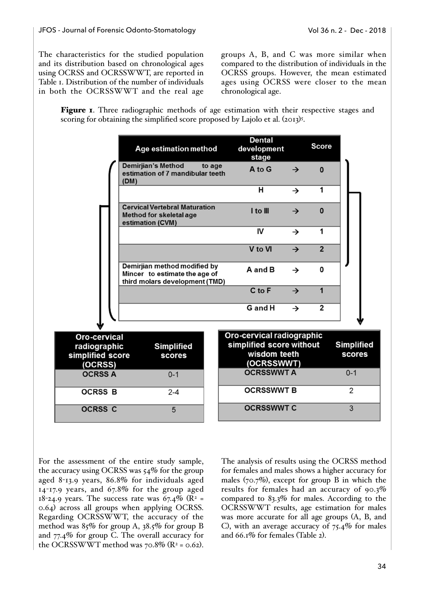The characteristics for the studied population and its distribution based on chronological ages using OCRSS and OCRSSWWT, are reported in Table 1. Distribution of the number of individuals in both the OCRSSWWT and the real age

groups A, B, and C was more similar when compared to the distribution of individuals in the OCRSS groups. However, the mean estimated ages using OCRSS were closer to the mean chronological age.

Figure 1. Three radiographic methods of age estimation with their respective stages and scoring for obtaining the simplified score proposed by Lajolo et al. (2013)<sup>5</sup>.

|                                                             | Age estimation method                                                                           |        | <b>Dental</b><br>development<br>stage                                               |               | <b>Score</b>   |                             |
|-------------------------------------------------------------|-------------------------------------------------------------------------------------------------|--------|-------------------------------------------------------------------------------------|---------------|----------------|-----------------------------|
|                                                             | <b>Demirjian's Method</b><br>estimation of 7 mandibular teeth<br>(DM)                           | to age | A to G                                                                              | $\rightarrow$ | $\mathbf{0}$   |                             |
|                                                             |                                                                                                 |        | н                                                                                   | $\rightarrow$ | 1              |                             |
|                                                             | <b>Cervical Vertebral Maturation</b><br>Method for skeletal age<br>estimation (CVM)             |        | I to III                                                                            | →             | $\mathbf{0}$   |                             |
|                                                             |                                                                                                 |        | IV                                                                                  | $\rightarrow$ | 1              |                             |
|                                                             |                                                                                                 |        | V to VI                                                                             | $\rightarrow$ | $\overline{2}$ |                             |
|                                                             | Demirjian method modified by<br>Mincer to estimate the age of<br>third molars development (TMD) |        | A and B                                                                             | $\rightarrow$ | 0              |                             |
|                                                             |                                                                                                 |        | C to F                                                                              | $\rightarrow$ | $\mathbf{1}$   |                             |
|                                                             |                                                                                                 |        | G and H                                                                             | $\rightarrow$ | $\overline{2}$ |                             |
| Oro-cervical<br>radiographic<br>simplified score<br>(OCRSS) | <b>Simplified</b><br><b>scores</b>                                                              |        | Oro-cervical radiographic<br>simplified score without<br>wisdom teeth<br>(OCRSSWWT) |               |                | <b>Simplified</b><br>scores |
| <b>OCRSS A</b>                                              | $0 - 1$                                                                                         |        | <b>OCRSSWWT A</b>                                                                   |               |                | $0 - 1$                     |
| <b>OCRSS B</b>                                              | $2 - 4$                                                                                         |        | <b>OCRSSWWT B</b>                                                                   |               |                | $\overline{2}$              |
| <b>OCRSS C</b>                                              | 5                                                                                               |        | <b>OCRSSWWTC</b>                                                                    |               |                | 3                           |

For the assessment of the entire study sample, the accuracy using OCRSS was  $54\%$  for the group aged 8-13.9 years, 86.8% for individuals aged 14-17.9 years, and 67.8% for the group aged  $18$ -24.9 years. The success rate was 67.4% (R<sup>2</sup> = 0.64) across all groups when applying OCRSS. Regarding OCRSSWWT, the accuracy of the method was 85% for group A, 38.5% for group B and 77.4% for group C. The overall accuracy for the OCRSSWWT method was  $70.8\%$  (R<sup>2</sup> = 0.62).

The analysis of results using the OCRSS method for females and males shows a higher accuracy for males  $(70.7\%)$ , except for group B in which the results for females had an accuracy of 90.3% compared to 83.3% for males. According to the OCRSSWWT results, age estimation for males was more accurate for all age groups (A, B, and C), with an average accuracy of  $75.4\%$  for males and 66.1% for females (Table 2).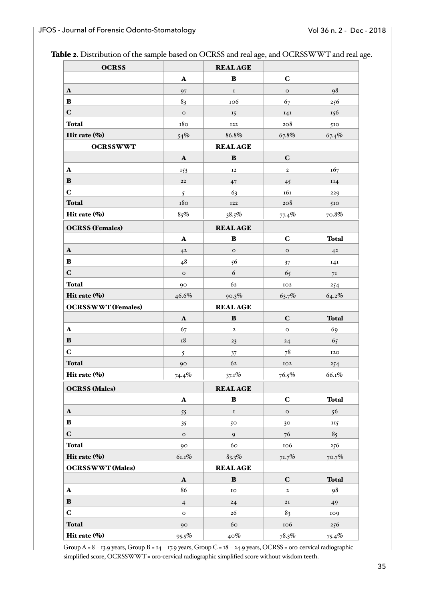|  |  |  | Table 2. Distribution of the sample based on OCRSS and real age, and OCRSSWWT and real age. |  |
|--|--|--|---------------------------------------------------------------------------------------------|--|
|  |  |  |                                                                                             |  |

| <b>OCRSS</b>              |                      | <b>REALAGE</b> |                 |                |
|---------------------------|----------------------|----------------|-----------------|----------------|
|                           | $\mathbf A$          | $\bf{B}$       | $\mathbf C$     |                |
| $\mathbf A$               | 97                   | $\mathbf I$    | $\circ$         | 98             |
| $\bf{B}$                  | 83                   | 106            | 67              | 256            |
| $\mathbf C$               | $\mathsf O$          | 15             | I4I             | 156            |
| <b>Total</b>              | 180                  | <b>I22</b>     | 208             | 510            |
| Hit rate (%)              | 54%                  | 86.8%          | 67.8%           | 67.4%          |
| <b>OCRSSWWT</b>           |                      | <b>REALAGE</b> |                 |                |
|                           | $\mathbf{A}$         | $\, {\bf B}$   | $\mathbf C$     |                |
| $\mathbf A$               | 153                  | <b>I2</b>      | $\mathbf{2}$    | 167            |
| B                         | ${\bf 22}$           | 47             | 45              | II4            |
| $\mathbf C$               | $\mathfrak{S}$       | 63             | 161             | 229            |
| <b>Total</b>              | 180                  | <b>I22</b>     | 208             | 510            |
| Hit rate (%)              | 85%                  | 38.5%          | 77.4%           | 70.8%          |
| <b>OCRSS</b> (Females)    |                      | <b>REALAGE</b> |                 |                |
|                           | $\mathbf A$          | $\bf{B}$       | $\mathbf C$     | <b>Total</b>   |
| $\mathbf A$               | 4 <sup>2</sup>       | $\mathsf O$    | $\mathsf O$     | 4 <sup>2</sup> |
| $\bf{B}$                  | 48                   | 56             | 37              | 14I            |
| $\mathbf C$               | $\circ$              | 6              | 65              | 7 <sub>I</sub> |
| <b>Total</b>              | 90                   | 62             | $_{\rm IO2}$    | 254            |
| Hit rate (%)              | 46.6%                | 90.3%          | 63.7%           | 64.2%          |
|                           |                      |                |                 |                |
| <b>OCRSSWWT</b> (Females) |                      | <b>REALAGE</b> |                 |                |
|                           | $\boldsymbol{\rm A}$ | $\, {\bf B}$   | $\mathbf C$     | <b>Total</b>   |
| $\mathbf A$               | 67                   | $\mathbf{2}$   | $\circ$         | 69             |
| $\bf{B}$                  | $^{\rm I8}$          | 23             | 24              | 65             |
| $\mathbf C$               | 5                    | 37             | 78              | <b>I2O</b>     |
| <b>Total</b>              | 90                   | 62             | IO2             | 254            |
| Hit rate (%)              | 74.4%                | $37.1\%$       | 76.5%           | $66.1\%$       |
| <b>OCRSS</b> (Males)      |                      | <b>REALAGE</b> |                 |                |
|                           | $\mathbf A$          | $\, {\bf B}$   | $\mathbf C$     | <b>Total</b>   |
| $\mathbf{A}$              | 55                   | $\mathbf I$    | $\circ$         | 56             |
| $\bf{B}$                  | 35                   | 50             | 30 <sup>°</sup> | II5            |
| $\mathbf C$               | $\circ$              | 9              | 76              | 85             |
| <b>Total</b>              | 90                   | 60             | 106             | 256            |
| Hit rate (%)              | 61.1%                | $83.3\%$       | 71.7%           | 70.7%          |
| <b>OCRSSWWT</b> (Males)   |                      | <b>REALAGE</b> |                 |                |
|                           | $\mathbf{A}$         | $\bf{B}$       | $\mathbf C$     | <b>Total</b>   |
| $\mathbf A$               | 86                   | IO             | $\mathbf{2}$    | 98             |
| ${\bf B}$                 | $\overline{4}$       | 24             | 2I              | 49             |
| $\mathbf C$               | $\mathsf O$          | 26             | 83              | 109            |
| <b>Total</b>              | 90                   | 60             | 106             | 256            |

Group A = 8 – 13.9 years, Group B = 14 – 17.9 years, Group C = 18 – 24.9 years, OCRSS = oro-cervical radiographic simplified score, OCRSSWWT = oro-cervical radiographic simplified score without wisdom teeth.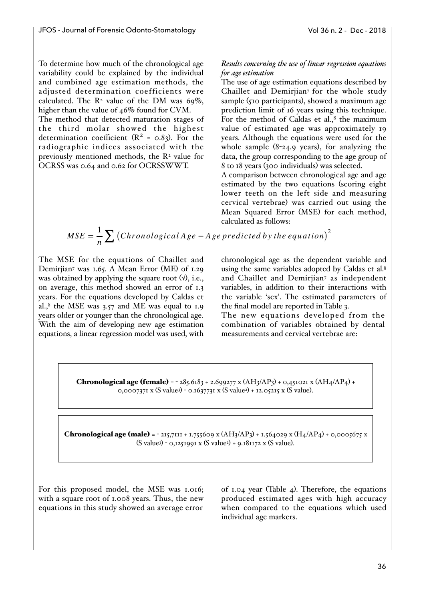To determine how much of the chronological age variability could be explained by the individual and combined age estimation methods, the adjusted determination coefficients were calculated. The  $R^2$  value of the DM was 69%, higher than the value of 46% found for CVM. The method that detected maturation stages of

the third molar showed the highest determination coefficient  $(R^2 = 0.83)$ . For the radiographic indices associated with the previously mentioned methods, the R<sup>2</sup> value for OCRSS was 0.64 and 0.62 for OCRSSWWT.

## *Results concerning the use of linear regression equations for age estimation*

The use of age estimation equations described by Chaillet and Demirjian7 for the whole study sample (510 participants), showed a maximum age prediction limit of 16 years using this technique. For the method of Caldas et al., $8$  the maximum value of estimated age was approximately 19 years. Although the equations were used for the whole sample (8-24.9 years), for analyzing the data, the group corresponding to the age group of 8 to 18 years (300 individuals) was selected.

A comparison between chronological age and age estimated by the two equations (scoring eight lower teeth on the left side and measuring cervical vertebrae) was carried out using the Mean Squared Error (MSE) for each method, calculated as follows:

$$
MSE = \frac{1}{n} \sum (Chronological Age - Age predicted by the equation)^2
$$

The MSE for the equations of Chaillet and Demirjian7 was 1.65. A Mean Error (ME) of 1.29 was obtained by applying the square root  $(\sqrt{v})$ , i.e., on average, this method showed an error of 1.3 years. For the equations developed by Caldas et al., $8$  the MSE was 3.57 and ME was equal to 1.9 years older or younger than the chronological age. With the aim of developing new age estimation equations, a linear regression model was used, with chronological age as the dependent variable and using the same variables adopted by Caldas et al.<sup>8</sup> and Chaillet and Demirjian7 as independent variables, in addition to their interactions with the variable 'sex'. The estimated parameters of the final model are reported in Table 3.

The new equations developed from the combination of variables obtained by dental measurements and cervical vertebrae are:

**Chronological age (female)** =  $-285.6183 + 2.699277$  x (AH3/AP3) + 0.451021 x (AH4/AP4) + 0,0007371 x (S value3) - 0.1637731 x (S value2) + 12.05215 x (S value).

**Chronological age (male)** =  $-215,7111 + 1.755609$  x (AH3/AP3) + 1.564029 x (H4/AP4) + 0,0005675 x (S value3) - 0,1251991 x (S value2) + 9.181172 x (S value).

For this proposed model, the MSE was 1.016; with a square root of 1.008 years. Thus, the new equations in this study showed an average error

of 1.04 year (Table 4). Therefore, the equations produced estimated ages with high accuracy when compared to the equations which used individual age markers.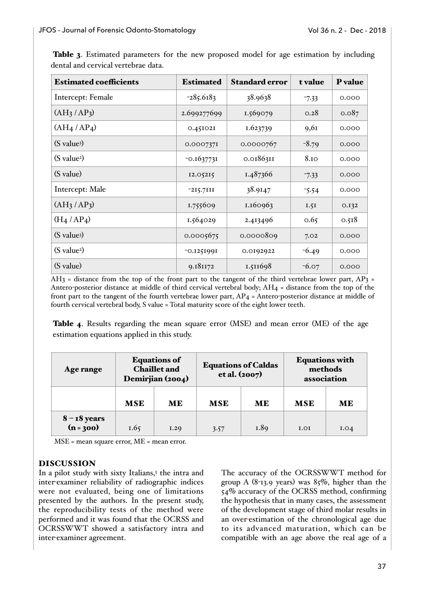| <b>Estimated coefficients</b>       | <b>Estimated</b> | <b>Standard error</b> | t value | <b>P</b> value |
|-------------------------------------|------------------|-----------------------|---------|----------------|
| Intercept: Female                   | $-285.6183$      | 38.9638               | $-7.33$ | 0.000          |
| (AH <sub>3</sub> /AP <sub>3</sub> ) | 2.699277699      | 1.569079              | 0.28    | 0.087          |
| $(AH_4/AP_4)$                       | 0.451021         | 1.623739              | 9,61    | 0.000          |
| (S value <sup>3</sup> )             | 0.0007371        | 0.0000767             | $-8.79$ | 0.000          |
| (S value <sup>2</sup> )             | $-0.1637731$     | 0.0186311             | 8.10    | 0.000          |
| (S value)                           | 12.05215         | 1.487366              | $-7.33$ | 0.000          |
| Intercept: Male                     | $-215.7111$      | 38.9147               | $-5.54$ | 0.000          |
| (AH <sub>3</sub> /AP <sub>3</sub> ) | 1.755609         | 1.160963              | 1.5I    | 0.132          |
| $(H_4/AP_4)$                        | 1.564029         | 2.413496              | 0.65    | 0.518          |
| (S value <sup>3</sup> )             | 0.0005675        | 0.0000809             | 7.02    | 0.000          |
| (S value <sup>2</sup> )             | -0.1251991       | 0.0192922             | $-6.49$ | 0.000          |
| (S value)                           | 9.181172         | 1.511698              | $-6.07$ | 0.000          |

Table 3. Estimated parameters for the new proposed model for age estimation by including dental and cervical vertebrae data.

 $AH_3$  = distance from the top of the front part to the tangent of the third vertebrae lower part,  $AP_3$  = Antero-posterior distance at middle of third cervical vertebral body; AH4 = distance from the top of the front part to the tangent of the fourth vertebrae lower part, AP4 = Antero-posterior distance at middle of fourth cervical vertebral body, S value = Total maturity score of the eight lower teeth.

Table 4. Results regarding the mean square error (MSE) and mean error (ME) of the age estimation equations applied in this study.

| Age range                     | <b>Equations of</b><br><b>Chaillet and</b><br>Demirjian (2004) |      | <b>Equations of Caldas</b><br>et al. (2007) |           | <b>Equations with</b><br>methods<br>association |           |
|-------------------------------|----------------------------------------------------------------|------|---------------------------------------------|-----------|-------------------------------------------------|-----------|
|                               | <b>MSE</b>                                                     | ME   | <b>MSE</b>                                  | <b>ME</b> | <b>MSE</b>                                      | <b>ME</b> |
| $8 - 18$ years<br>$(n = 300)$ | 1.65                                                           | I.20 | 3.57                                        | 1.89      | I.0I                                            | I.04      |

MSE = mean square error, ME = mean error.

# DISCUSSION

In a pilot study with sixty Italians,<sup>5</sup> the intra and inter-examiner reliability of radiographic indices were not evaluated, being one of limitations presented by the authors. In the present study, the reproducibility tests of the method were performed and it was found that the OCRSS and OCRSSWWT showed a satisfactory intra and inter-examiner agreement.

The accuracy of the OCRSSWWT method for group A  $(8-13.9 \text{ years})$  was  $85\%$ , higher than the 54% accuracy of the OCRSS method, confirming the hypothesis that in many cases, the assessment of the development stage of third molar results in an over-estimation of the chronological age due to its advanced maturation, which can be compatible with an age above the real age of a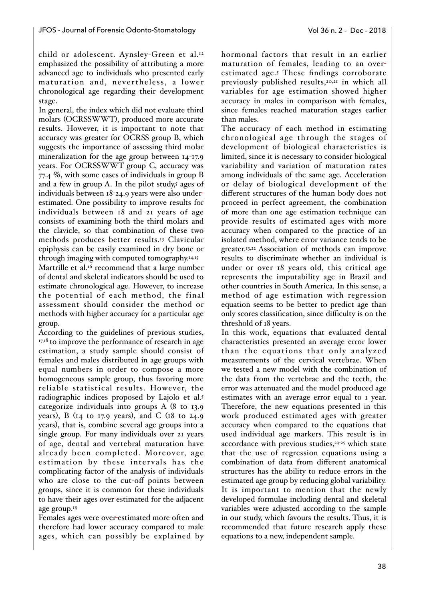child or adolescent. Aynsley-Green et al.<sup>12</sup> emphasized the possibility of attributing a more advanced age to individuals who presented early maturation and, nevertheless, a lower chronological age regarding their development stage.

In general, the index which did not evaluate third molars (OCRSSWWT), produced more accurate results. However, it is important to note that accuracy was greater for OCRSS group B, which suggests the importance of assessing third molar mineralization for the age group between 14-17.9 years. For OCRSSWWT group C, accuracy was 77.4 %, with some cases of individuals in group B and a few in group A. In the pilot study, $5$  ages of individuals between 18-24.9 years were also underestimated. One possibility to improve results for individuals between 18 and 21 years of age consists of examining both the third molars and the clavicle, so that combination of these two methods produces better results.13 Clavicular epiphysis can be easily examined in dry bone or through imaging with computed tomography.14,15

Martrille et al.<sup>16</sup> recommend that a large number of dental and skeletal indicators should be used to estimate chronological age. However, to increase the potential of each method, the final assessment should consider the method or methods with higher accuracy for a particular age group.

According to the guidelines of previous studies, 17,18 to improve the performance of research in age estimation, a study sample should consist of females and males distributed in age groups with equal numbers in order to compose a more homogeneous sample group, thus favoring more reliable statistical results. However, the radiographic indices proposed by Lajolo et al.5 categorize individuals into groups A (8 to 13.9 years), B ( $I_4$  to 17.9 years), and C ( $I_8$  to 24.9 years), that is, combine several age groups into a single group. For many individuals over 21 years of age, dental and vertebral maturation have already been completed. Moreover, age estimation by these intervals has the complicating factor of the analysis of individuals who are close to the cut-off points between groups, since it is common for these individuals to have their ages over-estimated for the adjacent age group.19

Females ages were over-estimated more often and therefore had lower accuracy compared to male ages, which can possibly be explained by hormonal factors that result in an earlier maturation of females, leading to an overestimated age.5 These findings corroborate previously published results,<sup>20,21</sup> in which all variables for age estimation showed higher accuracy in males in comparison with females, since females reached maturation stages earlier than males.

The accuracy of each method in estimating chronological age through the stages of development of biological characteristics is limited, since it is necessary to consider biological variability and variation of maturation rates among individuals of the same age. Acceleration or delay of biological development of the different structures of the human body does not proceed in perfect agreement, the combination of more than one age estimation technique can provide results of estimated ages with more accuracy when compared to the practice of an isolated method, where error variance tends to be greater.13,22 Association of methods can improve results to discriminate whether an individual is under or over 18 years old, this critical age represents the imputability age in Brazil and other countries in South America. In this sense, a method of age estimation with regression equation seems to be better to predict age than only scores classification, since difficulty is on the threshold of 18 years.

In this work, equations that evaluated dental characteristics presented an average error lower than the equations that only analyzed measurements of the cervical vertebrae. When we tested a new model with the combination of the data from the vertebrae and the teeth, the error was attenuated and the model produced age estimates with an average error equal to 1 year. Therefore, the new equations presented in this work produced estimated ages with greater accuracy when compared to the equations that used individual age markers. This result is in accordance with previous studies,<sup>23-25</sup> which state that the use of regression equations using a combination of data from different anatomical structures has the ability to reduce errors in the estimated age group by reducing global variability. It is important to mention that the newly developed formulae including dental and skeletal variables were adjusted according to the sample in our study, which favours the results. Thus, it is recommended that future research apply these equations to a new, independent sample.